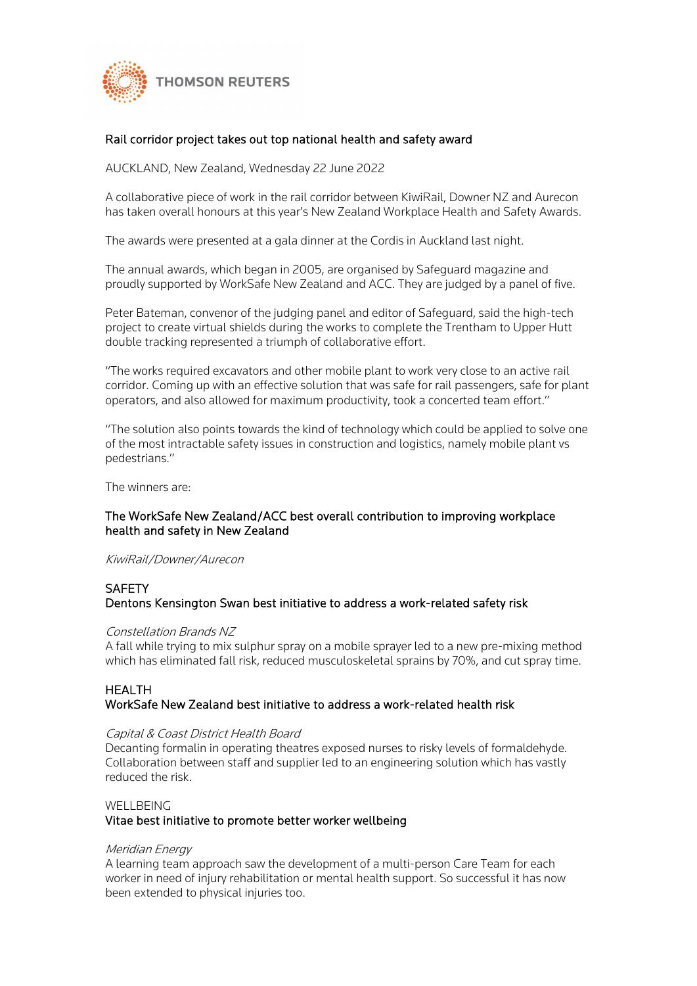

# Rail corridor project takes out top national health and safety award

AUCKLAND, New Zealand, Wednesday 22 June 2022

A collaborative piece of work in the rail corridor between KiwiRail, Downer NZ and Aurecon has taken overall honours at this year's New Zealand Workplace Health and Safety Awards.

The awards were presented at a gala dinner at the Cordis in Auckland last night.

The annual awards, which began in 2005, are organised by Safeguard magazine and proudly supported by WorkSafe New Zealand and ACC. They are judged by a panel of five.

Peter Bateman, convenor of the judging panel and editor of Safeguard, said the high-tech project to create virtual shields during the works to complete the Trentham to Upper Hutt double tracking represented a triumph of collaborative effort.

"The works required excavators and other mobile plant to work very close to an active rail corridor. Coming up with an effective solution that was safe for rail passengers, safe for plant operators, and also allowed for maximum productivity, took a concerted team effort."

"The solution also points towards the kind of technology which could be applied to solve one of the most intractable safety issues in construction and logistics, namely mobile plant vs pedestrians."

The winners are:

# The WorkSafe New Zealand/ACC best overall contribution to improving workplace health and safety in New Zealand

KiwiRail/Downer/Aurecon

# **SAFFTY**

## Dentons Kensington Swan best initiative to address a work-related safety risk

#### Constellation Brands NZ

A fall while trying to mix sulphur spray on a mobile sprayer led to a new pre-mixing method which has eliminated fall risk, reduced musculoskeletal sprains by 70%, and cut spray time.

#### HEALTH WorkSafe New Zealand best initiative to address a work-related health risk

#### Capital & Coast District Health Board

Decanting formalin in operating theatres exposed nurses to risky levels of formaldehyde. Collaboration between staff and supplier led to an engineering solution which has vastly reduced the risk.

#### WELLBEING

## Vitae best initiative to promote better worker wellbeing

#### Meridian Energy

A learning team approach saw the development of a multi-person Care Team for each worker in need of injury rehabilitation or mental health support. So successful it has now been extended to physical injuries too.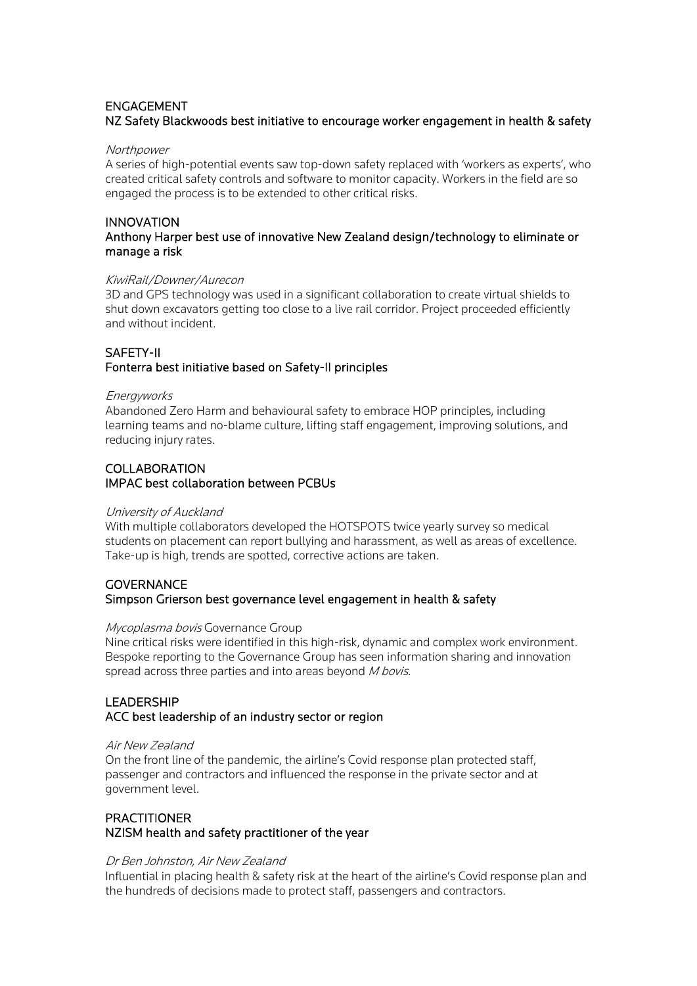# ENGAGEMENT NZ Safety Blackwoods best initiative to encourage worker engagement in health & safety

#### **Northpower**

A series of high-potential events saw top-down safety replaced with 'workers as experts', who created critical safety controls and software to monitor capacity. Workers in the field are so engaged the process is to be extended to other critical risks.

## INNOVATION Anthony Harper best use of innovative New Zealand design/technology to eliminate or manage a risk

#### KiwiRail/Downer/Aurecon

3D and GPS technology was used in a significant collaboration to create virtual shields to shut down excavators getting too close to a live rail corridor. Project proceeded efficiently and without incident.

# SAFETY-II

# Fonterra best initiative based on Safety-II principles

#### Energyworks

Abandoned Zero Harm and behavioural safety to embrace HOP principles, including learning teams and no-blame culture, lifting staff engagement, improving solutions, and reducing injury rates.

# COLLABORATION IMPAC best collaboration between PCBUs

#### University of Auckland

With multiple collaborators developed the HOTSPOTS twice yearly survey so medical students on placement can report bullying and harassment, as well as areas of excellence. Take-up is high, trends are spotted, corrective actions are taken.

# **GOVERNANCE** Simpson Grierson best governance level engagement in health & safety

## Mycoplasma bovis Governance Group

Nine critical risks were identified in this high-risk, dynamic and complex work environment. Bespoke reporting to the Governance Group has seen information sharing and innovation spread across three parties and into areas beyond M bovis.

# LEADERSHIP ACC best leadership of an industry sector or region

#### Air New Zealand

On the front line of the pandemic, the airline's Covid response plan protected staff, passenger and contractors and influenced the response in the private sector and at government level.

# **PRACTITIONER** NZISM health and safety practitioner of the year

## Dr Ben Johnston, Air New Zealand

Influential in placing health & safety risk at the heart of the airline's Covid response plan and the hundreds of decisions made to protect staff, passengers and contractors.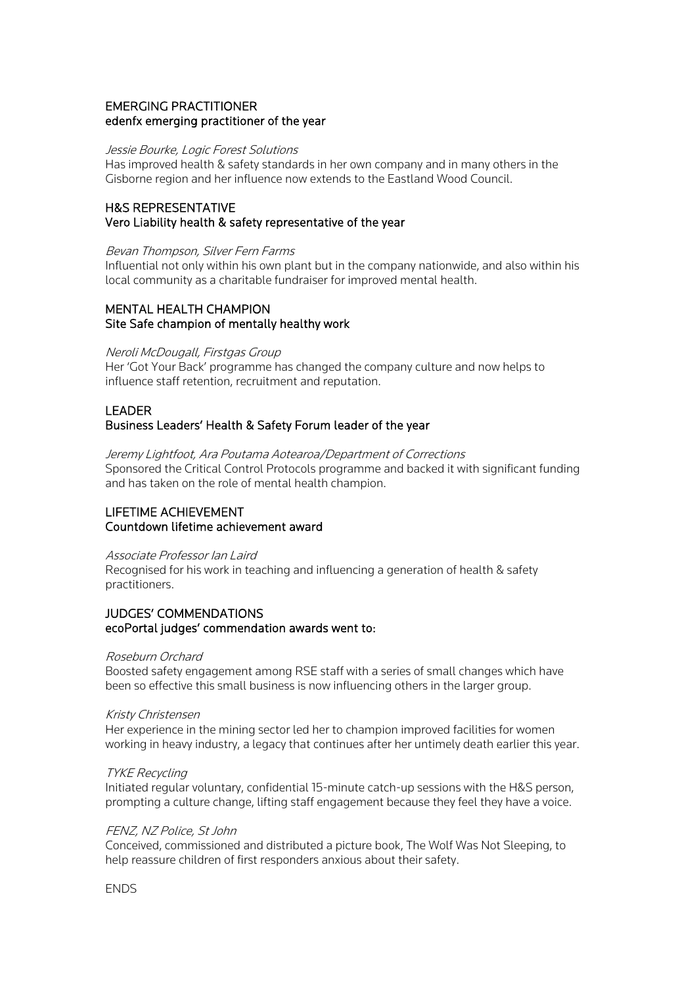# EMERGING PRACTITIONER edenfx emerging practitioner of the year

#### Jessie Bourke, Logic Forest Solutions

Has improved health & safety standards in her own company and in many others in the Gisborne region and her influence now extends to the Eastland Wood Council.

# H&S REPRESENTATIVE Vero Liability health & safety representative of the year

#### Bevan Thompson, Silver Fern Farms

Influential not only within his own plant but in the company nationwide, and also within his local community as a charitable fundraiser for improved mental health.

## MENTAL HEALTH CHAMPION Site Safe champion of mentally healthy work

#### Neroli McDougall, Firstgas Group

Her 'Got Your Back' programme has changed the company culture and now helps to influence staff retention, recruitment and reputation.

## LEADER Business Leaders' Health & Safety Forum leader of the year

Jeremy Lightfoot, Ara Poutama Aotearoa/Department of Corrections Sponsored the Critical Control Protocols programme and backed it with significant funding and has taken on the role of mental health champion.

# LIFETIME ACHIEVEMENT Countdown lifetime achievement award

#### Associate Professor Ian Laird

Recognised for his work in teaching and influencing a generation of health & safety practitioners.

### JUDGES' COMMENDATIONS ecoPortal judges' commendation awards went to:

#### Roseburn Orchard

Boosted safety engagement among RSE staff with a series of small changes which have been so effective this small business is now influencing others in the larger group.

#### Kristy Christensen

Her experience in the mining sector led her to champion improved facilities for women working in heavy industry, a legacy that continues after her untimely death earlier this year.

#### TYKE Recycling

Initiated regular voluntary, confidential 15-minute catch-up sessions with the H&S person, prompting a culture change, lifting staff engagement because they feel they have a voice.

#### FENZ, NZ Police, St John

Conceived, commissioned and distributed a picture book, The Wolf Was Not Sleeping, to help reassure children of first responders anxious about their safety.

**ENDS**